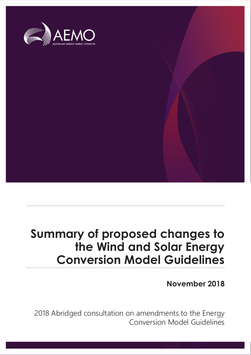

## **Summary of proposed changes to the Wind and Solar Energy Conversion Model Guidelines**

**November 2018**

2018 Abridged consultation on amendments to the Energy Conversion Model Guidelines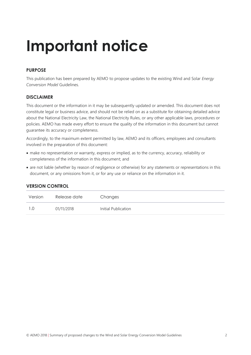# **Important notice**

#### **PURPOSE**

This publication has been prepared by AEMO to propose updates to the existing Wind and Solar *Energy Conversion Model* Guidelines.

#### **DISCLAIMER**

This document or the information in it may be subsequently updated or amended. This document does not constitute legal or business advice, and should not be relied on as a substitute for obtaining detailed advice about the National Electricity Law, the National Electricity Rules, or any other applicable laws, procedures or policies. AEMO has made every effort to ensure the quality of the information in this document but cannot guarantee its accuracy or completeness.

Accordingly, to the maximum extent permitted by law, AEMO and its officers, employees and consultants involved in the preparation of this document:

- make no representation or warranty, express or implied, as to the currency, accuracy, reliability or completeness of the information in this document; and
- are not liable (whether by reason of negligence or otherwise) for any statements or representations in this document, or any omissions from it, or for any use or reliance on the information in it.

| Version | Release date | Changes             |
|---------|--------------|---------------------|
| 1.0     | 01/11/2018   | Initial Publication |

#### **VERSION CONTROL**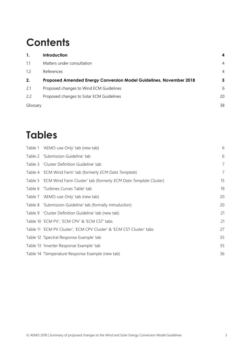## **Contents**

| $\mathbf{1}$ . | <b>Introduction</b>                                                | 4              |
|----------------|--------------------------------------------------------------------|----------------|
| 1.1            | Matters under consultation                                         | $\overline{4}$ |
| 1.2            | References                                                         | $\overline{4}$ |
| 2.             | Proposed Amended Energy Conversion Model Guidelines, November 2018 | 5              |
| 2.1            | Proposed changes to Wind ECM Guidelines                            | 6              |
| 2.2            | Proposed changes to Solar ECM Guidelines                           | 20             |
| Glossary       |                                                                    | 38             |

## **Tables**

| Table 1 'AEMO-use Only' tab (new tab)                                    | 6              |
|--------------------------------------------------------------------------|----------------|
| Table 2 'Submission Guideline' tab                                       | 6              |
| Table 3 'Cluster Definition Guideline' tab                               | $\overline{7}$ |
| Table 4 'ECM Wind Farm' tab (formerly ECM Data Template)                 | $\overline{7}$ |
| Table 5 'ECM Wind Farm Cluster' tab (formerly ECM Data Template Cluster) | 15             |
| Table 6 'Turbines Curves Table' tab                                      | 19             |
| Table 7 'AEMO-use Only' tab (new tab)                                    | 20             |
| Table 8 'Submission Guideline' tab (formally Introduction)               | 20             |
| Table 9 'Cluster Definition Guideline' tab (new tab)                     | 21             |
| Table 10 'ECM PV', 'ECM CPV' & 'ECM CST' tabs                            | 21             |
| Table 11 'ECM PV Cluster', 'ECM CPV Cluster' & 'ECM CST Cluster' tabs    | 27             |
| Table 12 'Spectral Response Example' tab                                 | 35             |
| Table 13 'Inverter Response Example' tab                                 | 35             |
| Table 14 'Temperature Response Example (new tab)                         | 36             |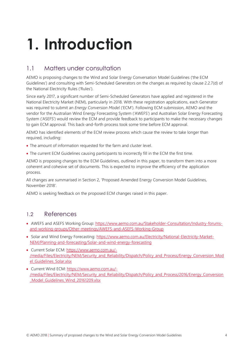# <span id="page-3-0"></span>**1. Introduction**

### <span id="page-3-1"></span>1.1 Matters under consultation

AEMO is proposing changes to the Wind and Solar Energy Conversation Model Guidelines ('the ECM Guidelines') and consulting with Semi-Scheduled Generators on the changes as required by clause 2.2.7(d) of the National Electricity Rules ('Rules').

Since early 2017, a significant number of Semi-Scheduled Generators have applied and registered in the National Electricity Market (NEM), particularly in 2018. With these registration applications, each Generator was required to submit an *Energy Conversion Model* ('ECM'). Following ECM submission, AEMO and the vendor for the Australian Wind Energy Forecasting System ('AWEFS') and Australian Solar Energy Forecasting System ('ASEFS') would review the ECM and provide feedback to participants to make the necessary changes to gain ECM approval. This back-and-forth process took some time before ECM approval.

AEMO has identified elements of the ECM review process which cause the review to take longer than required, including:

- The amount of information requested for the farm and cluster level.
- The current ECM Guidelines causing participants to incorrectly fill in the ECM the first time.

AEMO is proposing changes to the ECM Guidelines, outlined in this paper, to transform them into a more coherent and cohesive set of documents. This is expected to improve the efficiency of the application process.

All changes are summarised in Section 2, 'Proposed Amended Energy Conversion Model Guidelines, November 2018'.

AEMO is seeking feedback on the proposed ECM changes raised in this paper.

### <span id="page-3-2"></span>1.2 References

- AWEFS and ASEFS Working Group: [https://www.aemo.com.au/Stakeholder-Consultation/Industry-forums](https://www.aemo.com.au/Stakeholder-Consultation/Industry-forums-and-working-groups/Other-meetings/AWEFS-and-ASEFS-Working-Group)[and-working-groups/Other-meetings/AWEFS-and-ASEFS-Working-Group](https://www.aemo.com.au/Stakeholder-Consultation/Industry-forums-and-working-groups/Other-meetings/AWEFS-and-ASEFS-Working-Group)
- Solar and Wind Energy Forecasting: [https://www.aemo.com.au/Electricity/National-Electricity-Market-](https://www.aemo.com.au/Electricity/National-Electricity-Market-NEM/Planning-and-forecasting/Solar-and-wind-energy-forecasting)[NEM/Planning-and-forecasting/Solar-and-wind-energy-forecasting](https://www.aemo.com.au/Electricity/National-Electricity-Market-NEM/Planning-and-forecasting/Solar-and-wind-energy-forecasting)
- Current Solar ECM: [https://www.aemo.com.au/-](https://www.aemo.com.au/-/media/Files/Electricity/NEM/Security_and_Reliability/Dispatch/Policy_and_Process/Energy_Conversion_Model_Guidelines_Solar.xlsx) [/media/Files/Electricity/NEM/Security\\_and\\_Reliability/Dispatch/Policy\\_and\\_Process/Energy\\_Conversion\\_Mod](https://www.aemo.com.au/-/media/Files/Electricity/NEM/Security_and_Reliability/Dispatch/Policy_and_Process/Energy_Conversion_Model_Guidelines_Solar.xlsx) [el\\_Guidelines\\_Solar.xlsx](https://www.aemo.com.au/-/media/Files/Electricity/NEM/Security_and_Reliability/Dispatch/Policy_and_Process/Energy_Conversion_Model_Guidelines_Solar.xlsx)
- Current Wind ECM: [https://www.aemo.com.au/-](https://www.aemo.com.au/-/media/Files/Electricity/NEM/Security_and_Reliability/Dispatch/Policy_and_Process/2016/Energy_Conversion_Model_Guidelines_Wind_20161209.xlsx) [/media/Files/Electricity/NEM/Security\\_and\\_Reliability/Dispatch/Policy\\_and\\_Process/2016/Energy\\_Conversion](https://www.aemo.com.au/-/media/Files/Electricity/NEM/Security_and_Reliability/Dispatch/Policy_and_Process/2016/Energy_Conversion_Model_Guidelines_Wind_20161209.xlsx) Model Guidelines Wind 20161209.xlsx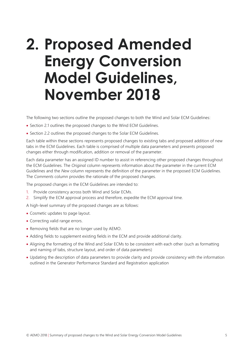# <span id="page-4-0"></span>**2. Proposed Amended Energy Conversion Model Guidelines, November 2018**

The following two sections outline the proposed changes to both the Wind and Solar ECM Guidelines:

- Section 2.1 outlines the proposed changes to the Wind ECM Guidelines.
- Section 2.2 outlines the proposed changes to the Solar ECM Guidelines.

Each table within these sections represents proposed changes to existing tabs and proposed addition of new tabs in the ECM Guidelines. Each table is comprised of multiple data parameters and presents proposed changes either through modification, addition or removal of the parameter.

Each data parameter has an assigned ID number to assist in referencing other proposed changes throughout the ECM Guidelines. The *Original* column represents information about the parameter in the current ECM Guidelines and the *New* column represents the definition of the parameter in the proposed ECM Guidelines. The *Comments* column provides the rationale of the proposed changes.

The proposed changes in the ECM Guidelines are intended to:

- 1. Provide consistency across both Wind and Solar ECMs.
- 2. Simplify the ECM approval process and therefore, expedite the ECM approval time.

A high-level summary of the proposed changes are as follows:

- Cosmetic updates to page layout.
- Correcting valid range errors.
- Removing fields that are no longer used by AEMO.
- Adding fields to supplement existing fields in the ECM and provide additional clarity.
- Aligning the formatting of the Wind and Solar ECMs to be consistent with each other (such as formatting and naming of tabs, structure layout, and order of data parameters)
- Updating the description of data parameters to provide clarity and provide consistency with the information outlined in the Generator Performance Standard and Registration application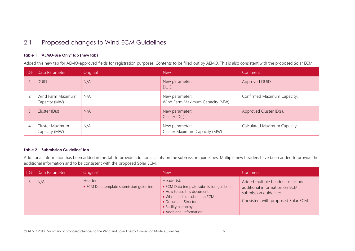### 2.1 Proposed changes to Wind ECM Guidelines

#### **Table 1 'AEMO-use Only' tab (new tab)**

Added this new tab for AEMO-approved fields for registration purposes. Contents to be filled out by AEMO. This is also consistent with the proposed Solar ECM.

| D# | Data Parameter                     | Original | <b>New</b>                                        | Comment                      |
|----|------------------------------------|----------|---------------------------------------------------|------------------------------|
|    | <b>DUID</b>                        | N/A      | New parameter:<br><b>DUID</b>                     | Approved DUID.               |
|    | Wind Farm Maximum<br>Capacity (MW) | N/A      | New parameter:<br>Wind Farm Maximum Capacity (MW) | Confirmed Maximum Capacity.  |
|    | Cluster ID(s)                      | N/A      | New parameter:<br>Cluster ID(s)                   | Approved Cluster ID(s).      |
| 4  | Cluster Maximum<br>Capacity (MW)   | N/A      | New parameter:<br>Cluster Maximum Capacity (MW)   | Calculated Maximum Capacity. |

#### <span id="page-5-1"></span><span id="page-5-0"></span>**Table 2 'Submission Guideline' tab**

Additional information has been added in this tab to provide additional clarity on the submission guidelines. Multiple new headers have been added to provide the additional information and to be consistent with the proposed Solar ECM.

<span id="page-5-2"></span>

| D# | Data Parameter | Original                                            | <b>New</b>                                                                                                                                                                                       | Comment                                                                                                                             |
|----|----------------|-----------------------------------------------------|--------------------------------------------------------------------------------------------------------------------------------------------------------------------------------------------------|-------------------------------------------------------------------------------------------------------------------------------------|
|    | N/A            | Header:<br>• ECM Data template submission quideline | Header(s):<br>• ECM Data template submission quideline<br>• How to use this document<br>• Who needs to submit an ECM<br>• Document Structure<br>• Facility hierarchy<br>• Additional Information | Added multiple headers to include<br>additional information on ECM<br>submission guidelines.<br>Consistent with proposed Solar ECM. |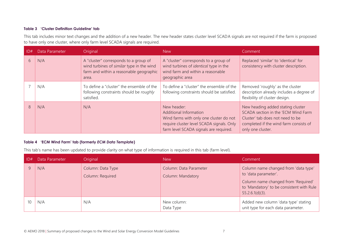#### **Table 3 'Cluster Definition Guideline' tab**

This tab includes minor text changes and the addition of a new header. The new header states cluster level SCADA signals are not required if the farm is proposed to have only one cluster, where only farm level SCADA signals are required.

| ID# | Data Parameter | Original                                                                                                                               | <b>New</b>                                                                                                                                                                     | Comment                                                                                                                                                                     |
|-----|----------------|----------------------------------------------------------------------------------------------------------------------------------------|--------------------------------------------------------------------------------------------------------------------------------------------------------------------------------|-----------------------------------------------------------------------------------------------------------------------------------------------------------------------------|
| 6   | N/A            | A "cluster" corresponds to a group of<br>wind turbines of similar type in the wind<br>farm and within a reasonable geographic<br>area. | A "cluster" corresponds to a group of<br>wind turbines of <i>identical</i> type in the<br>wind farm and within a reasonable<br>geographic area                                 | Replaced 'similar' to 'identical' for<br>consistency with cluster description.                                                                                              |
|     | N/A            | To define a "cluster" the ensemble of the<br>following constraints should be roughly<br>satisfied.                                     | To define a "cluster" the ensemble of the<br>following constraints should be satisfied.                                                                                        | Removed 'roughly' as the cluster<br>description already includes a degree of<br>flexibility of cluster design.                                                              |
| 8   | N/A            | N/A                                                                                                                                    | New header:<br><b>Additional Information</b><br>Wind farms with only one cluster do not<br>require cluster level SCADA signals. Only<br>farm level SCADA signals are required. | New heading added stating cluster<br>SCADA section in the 'ECM Wind Farm<br>Cluster' tab does not need to be<br>completed if the wind farm consists of<br>only one cluster. |

#### <span id="page-6-0"></span>**Table 4 'ECM Wind Farm' tab (formerly** *ECM Data Template***)**

This tab's name has been updated to provide clarity on what type of information is required in this tab (farm level).

<span id="page-6-1"></span>

| D# | Data Parameter | <b>Original</b>                       | <b>New</b>                                         | Comment                                                                                                                                                                |
|----|----------------|---------------------------------------|----------------------------------------------------|------------------------------------------------------------------------------------------------------------------------------------------------------------------------|
|    | N/A            | Column: Data Type<br>Column: Required | Column: Data Parameter<br><b>Column: Mandatory</b> | Column name changed from 'data type'<br>to 'data parameter'.<br>Column name changed from 'Required'<br>to 'Mandatory' to be consistent with Rule<br>$S5.2.6.1(d)(3)$ . |
| 10 | N/A            | N/A                                   | New column:<br>Data Type                           | Added new column 'data type' stating<br>unit type for each data parameter.                                                                                             |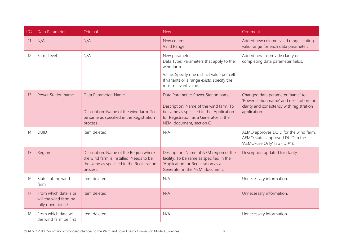| ID# | Data Parameter                                                       | Original                                                                                                                                  | <b>New</b>                                                                                                                                                                                      | Comment                                                                                                                                   |
|-----|----------------------------------------------------------------------|-------------------------------------------------------------------------------------------------------------------------------------------|-------------------------------------------------------------------------------------------------------------------------------------------------------------------------------------------------|-------------------------------------------------------------------------------------------------------------------------------------------|
| 11  | N/A                                                                  | N/A                                                                                                                                       | New column:<br>Valid Range                                                                                                                                                                      | Added new column 'valid range' stating<br>valid range for each data parameter.                                                            |
| 12  | Farm Level                                                           | N/A                                                                                                                                       | New parameter:<br>Data Type: Parameters that apply to the<br>wind farm.<br>Value: Specify one distinct value per cell.<br>If variants or a range exists, specify the<br>most relevant value.    | Added row to provide clarity on<br>completing data parameter fields.                                                                      |
| 13  | Power Station name                                                   | Data Parameter: Name<br>Description: Name of the wind farm. To<br>be same as specified in the Registration<br>process.                    | Data Parameter: Power Station name<br>Description: Name of the wind farm. To<br>be same as specified in the 'Application<br>for Registration as a Generator in the<br>NEM' document, section C. | Changed data parameter 'name' to<br>'Power station name' and description for<br>clarity and consistency with registration<br>application. |
| 14  | <b>DUID</b>                                                          | Item deleted.                                                                                                                             | N/A                                                                                                                                                                                             | AEMO approves DUID for the wind farm.<br>AEMO states approved DUID in the<br>'AEMO-use Only' tab (ID #1).                                 |
| 15  | Region                                                               | Description: Name of the Region where<br>the wind farm is installed. Needs to be<br>the same as specified in the Registration<br>process. | Description: Name of NEM region of the<br>facility. To be same as specified in the<br>'Application for Registration as a<br>Generator in the NEM' document.                                     | Description updated for clarity.                                                                                                          |
| 16  | Status of the wind<br>farm                                           | Item deleted.                                                                                                                             | N/A                                                                                                                                                                                             | Unnecessary information.                                                                                                                  |
| 17  | From which date is or<br>will the wind farm be<br>fully operational? | Item deleted.                                                                                                                             | N/A                                                                                                                                                                                             | Unnecessary information.                                                                                                                  |
| 18  | From which date will<br>the wind farm be first                       | Item deleted.                                                                                                                             | N/A                                                                                                                                                                                             | Unnecessary information.                                                                                                                  |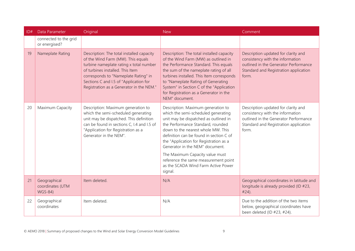| ID# | Data Parameter                                     | Original                                                                                                                                                                                                                                                                                     | <b>New</b>                                                                                                                                                                                                                                                                                                                                                                                                                                         | Comment                                                                                                                                                            |
|-----|----------------------------------------------------|----------------------------------------------------------------------------------------------------------------------------------------------------------------------------------------------------------------------------------------------------------------------------------------------|----------------------------------------------------------------------------------------------------------------------------------------------------------------------------------------------------------------------------------------------------------------------------------------------------------------------------------------------------------------------------------------------------------------------------------------------------|--------------------------------------------------------------------------------------------------------------------------------------------------------------------|
|     | connected to the grid<br>or energised?             |                                                                                                                                                                                                                                                                                              |                                                                                                                                                                                                                                                                                                                                                                                                                                                    |                                                                                                                                                                    |
| 19  | Nameplate Rating                                   | Description: The total installed capacity<br>of the Wind Farm (MW). This equals<br>turbine nameplate rating x total number<br>of turbines installed. This Item<br>corresponds to "Nameplate Rating" in<br>Sections C and I.5 of "Application for<br>Registration as a Generator in the NEM." | Description: The total installed capacity<br>of the Wind Farm (MW) as outlined in<br>the Performance Standard. This equals<br>the sum of the nameplate rating of all<br>turbines installed. This Item corresponds<br>to "Nameplate Rating of Generating<br>System" in Section C of the "Application<br>for Registration as a Generator in the<br>NEM" document.                                                                                    | Description updated for clarity and<br>consistency with the information<br>outlined in the Generator Performance<br>Standard and Registration application<br>form. |
| 20  | Maximum Capacity                                   | Description: Maximum generation to<br>which the semi-scheduled generating<br>unit may be dispatched. This definition<br>can be found in sections C, I.4 and I.5 of<br>"Application for Registration as a<br>Generator in the NEM".                                                           | Description: Maximum generation to<br>which the semi-scheduled generating<br>unit may be dispatched as outlined in<br>the Performance Standard, rounded<br>down to the nearest whole MW. This<br>definition can be found in section C of<br>the "Application for Registration as a<br>Generator in the NEM" document.<br>The Maximum Capacity value must<br>reference the same measurement point<br>as the SCADA Wind Farm Active Power<br>signal. | Description updated for clarity and<br>consistency with the information<br>outlined in the Generator Performance<br>Standard and Registration application<br>form. |
| 21  | Geographical<br>coordinates (UTM<br><b>WGS-84)</b> | Item deleted.                                                                                                                                                                                                                                                                                | N/A                                                                                                                                                                                                                                                                                                                                                                                                                                                | Geographical coordinates in latitude and<br>longitude is already provided (ID #23,<br>#24).                                                                        |
| 22  | Geographical<br>coordinates                        | Item deleted.                                                                                                                                                                                                                                                                                | N/A                                                                                                                                                                                                                                                                                                                                                                                                                                                | Due to the addition of the two items<br>below, geographical coordinates have<br>been deleted (ID #23, #24).                                                        |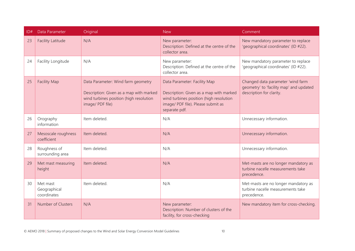| ID# | Data Parameter                          | Original                                                                                                                                     | <b>New</b>                                                                                                                                                                | Comment                                                                                                  |
|-----|-----------------------------------------|----------------------------------------------------------------------------------------------------------------------------------------------|---------------------------------------------------------------------------------------------------------------------------------------------------------------------------|----------------------------------------------------------------------------------------------------------|
| 23  | <b>Facility Latitude</b>                | N/A                                                                                                                                          | New parameter:<br>Description: Defined at the centre of the<br>collector area.                                                                                            | New mandatory parameter to replace<br>'geographical coordinates' (ID #22).                               |
| 24  | Facility Longitude                      | N/A                                                                                                                                          | New parameter:<br>Description: Defined at the centre of the<br>collector area.                                                                                            | New mandatory parameter to replace<br>'geographical coordinates' (ID #22).                               |
| 25  | <b>Facility Map</b>                     | Data Parameter: Wind farm geometry<br>Description: Given as a map with marked<br>wind turbines position (high resolution<br>image/ PDF file) | Data Parameter: Facility Map<br>Description: Given as a map with marked<br>wind turbines position (high resolution<br>image/ PDF file). Please submit as<br>separate pdf. | Changed data parameter 'wind farm<br>geometry' to 'facility map' and updated<br>description for clarity. |
| 26  | Orography<br>information                | Item deleted.                                                                                                                                | N/A                                                                                                                                                                       | Unnecessary information.                                                                                 |
| 27  | Mesoscale roughness<br>coefficient      | Item deleted.                                                                                                                                | N/A                                                                                                                                                                       | Unnecessary information.                                                                                 |
| 28  | Roughness of<br>surrounding area        | Item deleted.                                                                                                                                | N/A                                                                                                                                                                       | Unnecessary information.                                                                                 |
| 29  | Met mast measuring<br>height            | Item deleted.                                                                                                                                | N/A                                                                                                                                                                       | Met-masts are no longer mandatory as<br>turbine nacelle measurements take<br>precedence.                 |
| 30  | Met mast<br>Geographical<br>coordinates | Item deleted.                                                                                                                                | N/A                                                                                                                                                                       | Met-masts are no longer mandatory as<br>turbine nacelle measurements take<br>precedence.                 |
| 31  | Number of Clusters                      | N/A                                                                                                                                          | New parameter:<br>Description: Number of clusters of the<br>facility, for cross-checking                                                                                  | New mandatory item for cross-checking.                                                                   |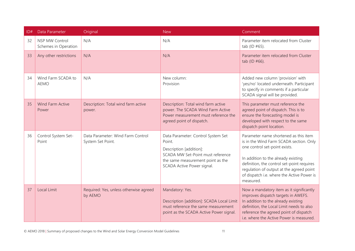| ID# | Data Parameter                         | Original                                               | <b>New</b>                                                                                                                                                                      | Comment                                                                                                                                                                                                                                                                                                       |
|-----|----------------------------------------|--------------------------------------------------------|---------------------------------------------------------------------------------------------------------------------------------------------------------------------------------|---------------------------------------------------------------------------------------------------------------------------------------------------------------------------------------------------------------------------------------------------------------------------------------------------------------|
| 32  | NSP MW Control<br>Schemes in Operation | N/A                                                    | N/A                                                                                                                                                                             | Parameter item relocated from Cluster<br>tab (ID $#65$ ).                                                                                                                                                                                                                                                     |
| 33  | Any other restrictions                 | N/A                                                    | N/A                                                                                                                                                                             | Parameter item relocated from Cluster<br>tab (ID #66).                                                                                                                                                                                                                                                        |
| 34  | Wind Farm SCADA to<br><b>AEMO</b>      | N/A                                                    | New column:<br>Provision                                                                                                                                                        | Added new column 'provision' with<br>'yes/no' located underneath. Participant<br>to specify in comments if a particular<br>SCADA signal will be provided.                                                                                                                                                     |
| 35  | <b>Wind Farm Active</b><br>Power       | Description: Total wind farm active<br>power.          | Description: Total wind farm active<br>power. The SCADA Wind Farm Active<br>Power measurement must reference the<br>agreed point of dispatch.                                   | This parameter must reference the<br>agreed point of dispatch. This is to<br>ensure the forecasting model is<br>developed with respect to the same<br>dispatch point location.                                                                                                                                |
| 36  | Control System Set-<br>Point           | Data Parameter: Wind Farm Control<br>System Set Point. | Data Parameter: Control System Set<br>Point.<br>Description [addition]:<br>SCADA MW Set-Point must reference<br>the same measurement point as the<br>SCADA Active Power signal. | Parameter name shortened as this item<br>is in the Wind Farm SCADA section. Only<br>one control set-point exists.<br>In addition to the already existing<br>definition, the control set-point requires<br>regulation of output at the agreed point<br>of dispatch i.e. where the Active Power is<br>measured. |
| 37  | <b>Local Limit</b>                     | Required: Yes, unless otherwise agreed<br>by AEMO      | Mandatory: Yes.<br>Description [addition]: SCADA Local Limit<br>must reference the same measurement<br>point as the SCADA Active Power signal.                                  | Now a mandatory item as it significantly<br>improves dispatch targets in AWEFS.<br>In addition to the already existing<br>definition, the Local Limit needs to also<br>reference the agreed point of dispatch<br>i.e. where the Active Power is measured.                                                     |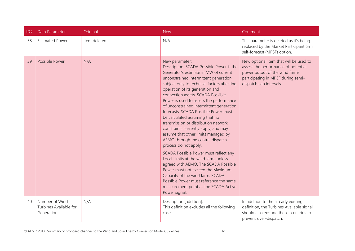| ID# | Data Parameter                                         | Original      | <b>New</b>                                                                                                                                                                                                                                                                                                                                                                                                                                                                                                                                                                                                                                                                                                                                                                                                                                                                                                                        | Comment                                                                                                                                                                          |
|-----|--------------------------------------------------------|---------------|-----------------------------------------------------------------------------------------------------------------------------------------------------------------------------------------------------------------------------------------------------------------------------------------------------------------------------------------------------------------------------------------------------------------------------------------------------------------------------------------------------------------------------------------------------------------------------------------------------------------------------------------------------------------------------------------------------------------------------------------------------------------------------------------------------------------------------------------------------------------------------------------------------------------------------------|----------------------------------------------------------------------------------------------------------------------------------------------------------------------------------|
| 38  | <b>Estimated Power</b>                                 | Item deleted. | N/A                                                                                                                                                                                                                                                                                                                                                                                                                                                                                                                                                                                                                                                                                                                                                                                                                                                                                                                               | This parameter is deleted as it's being<br>replaced by the Market Participant 5min<br>self-forecast (MP5F) option.                                                               |
| 39  | Possible Power                                         | N/A           | New parameter:<br>Description: SCADA Possible Power is the<br>Generator's estimate in MW of current<br>unconstrained intermittent generation,<br>subject only to technical factors affecting<br>operation of its generation and<br>connection assets. SCADA Possible<br>Power is used to assess the performance<br>of unconstrained intermittent generation<br>forecasts. SCADA Possible Power must<br>be calculated assuming that no<br>transmission or distribution network<br>constraints currently apply, and may<br>assume that other limits managed by<br>AEMO through the central dispatch<br>process do not apply.<br>SCADA Possible Power must reflect any<br>Local Limits at the wind farm, unless<br>agreed with AEMO. The SCADA Possible<br>Power must not exceed the Maximum<br>Capacity of the wind farm. SCADA<br>Possible Power must reference the same<br>measurement point as the SCADA Active<br>Power signal. | New optional item that will be used to<br>assess the performance of potential<br>power output of the wind farms<br>participating in MP5F during semi-<br>dispatch cap intervals. |
| 40  | Number of Wind<br>Turbines Available for<br>Generation | N/A           | Description [addition]:<br>This definition excludes all the following<br>cases:                                                                                                                                                                                                                                                                                                                                                                                                                                                                                                                                                                                                                                                                                                                                                                                                                                                   | In addition to the already existing<br>definition, the Turbines Available signal<br>should also exclude these scenarios to<br>prevent over-dispatch.                             |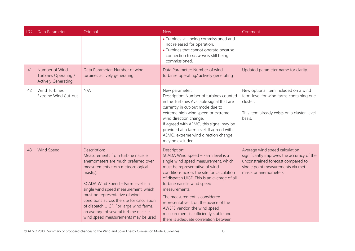| ID# | Data Parameter                                                       | Original                                                                                                                                                                                                                                                                                                                                                                                                                                    | <b>New</b>                                                                                                                                                                                                                                                                                                                                                                                                                                                              | Comment                                                                                                                                                                           |
|-----|----------------------------------------------------------------------|---------------------------------------------------------------------------------------------------------------------------------------------------------------------------------------------------------------------------------------------------------------------------------------------------------------------------------------------------------------------------------------------------------------------------------------------|-------------------------------------------------------------------------------------------------------------------------------------------------------------------------------------------------------------------------------------------------------------------------------------------------------------------------------------------------------------------------------------------------------------------------------------------------------------------------|-----------------------------------------------------------------------------------------------------------------------------------------------------------------------------------|
|     |                                                                      |                                                                                                                                                                                                                                                                                                                                                                                                                                             | • Turbines still being commissioned and<br>not released for operation.<br>• Turbines that cannot operate because<br>connection to network is still being<br>commissioned.                                                                                                                                                                                                                                                                                               |                                                                                                                                                                                   |
| 41  | Number of Wind<br>Turbines Operating /<br><b>Actively Generating</b> | Data Parameter: Number of wind<br>turbines actively generating                                                                                                                                                                                                                                                                                                                                                                              | Data Parameter: Number of wind<br>turbines operating/actively generating                                                                                                                                                                                                                                                                                                                                                                                                | Updated parameter name for clarity.                                                                                                                                               |
| 42  | <b>Wind Turbines</b><br>Extreme Wind Cut-out                         | N/A                                                                                                                                                                                                                                                                                                                                                                                                                                         | New parameter:<br>Description: Number of turbines counted<br>in the Turbines Available signal that are<br>currently in cut-out mode due to<br>extreme high wind speed or extreme<br>wind direction change.<br>If agreed with AEMO, this signal may be<br>provided at a farm level. If agreed with<br>AEMO, extreme wind direction change<br>may be excluded.                                                                                                            | New optional item included on a wind<br>farm-level for wind farms containing one<br>cluster.<br>This item already exists on a cluster-level<br>basis.                             |
| 43  | Wind Speed                                                           | Description:<br>Measurements from turbine nacelle<br>anemometers are much preferred over<br>measurements from meteorological<br>$\text{mast}(s)$ .<br>SCADA Wind Speed - Farm level is a<br>single wind speed measurement, which<br>must be representative of wind<br>conditions across the site for calculation<br>of dispatch UIGF. For large wind farms,<br>an average of several turbine nacelle<br>wind speed measurements may be used | Description:<br>SCADA Wind Speed - Farm level is a<br>single wind speed measurement, which<br>must be representative of wind<br>conditions across the site for calculation<br>of dispatch UIGF. This is an average of all<br>turbine nacelle wind speed<br>measurements.<br>The measurement is considered<br>representative if, on the advice of the<br>AWEFS vendor, the wind speed<br>measurement is sufficiently stable and<br>there is adequate correlation between | Average wind speed calculation<br>significantly improves the accuracy of the<br>unconstrained forecast compared to<br>single point measurements via met-<br>masts or anemometers. |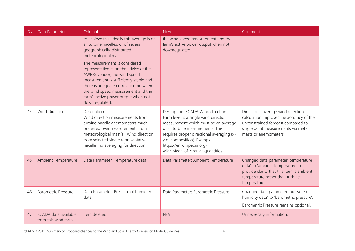| ID# | Data Parameter                              | Original                                                                                                                                                                                                                                                                                   | <b>New</b>                                                                                                                                                                                                                                                                                             | Comment                                                                                                                                                                             |
|-----|---------------------------------------------|--------------------------------------------------------------------------------------------------------------------------------------------------------------------------------------------------------------------------------------------------------------------------------------------|--------------------------------------------------------------------------------------------------------------------------------------------------------------------------------------------------------------------------------------------------------------------------------------------------------|-------------------------------------------------------------------------------------------------------------------------------------------------------------------------------------|
|     |                                             | to achieve this. Ideally this average is of<br>all turbine nacelles, or of several<br>geographically-distributed<br>meteorological masts.                                                                                                                                                  | the wind speed measurement and the<br>farm's active power output when not<br>downregulated.                                                                                                                                                                                                            |                                                                                                                                                                                     |
|     |                                             | The measurement is considered<br>representative if, on the advice of the<br>AWEFS vendor, the wind speed<br>measurement is sufficiently stable and<br>there is adequate correlation between<br>the wind speed measurement and the<br>farm's active power output when not<br>downregulated. |                                                                                                                                                                                                                                                                                                        |                                                                                                                                                                                     |
| 44  | <b>Wind Direction</b>                       | Description:<br>Wind direction measurements from<br>turbine nacelle anemometers much<br>preferred over measurements from<br>meteorological mast(s). Wind direction<br>from selected single representative<br>nacelle (no averaging for direction).                                         | Description: SCADA Wind direction -<br>Farm level is a single wind direction<br>measurement which must be an average<br>of all turbine measurements. This<br>requires proper directional averaging (x-<br>y decomposition). Example:<br>https://en.wikipedia.org/<br>wiki/ Mean_of_circular_quantities | Directional average wind direction<br>calculation improves the accuracy of the<br>unconstrained forecast compared to<br>single point measurements via met-<br>masts or anemometers. |
| 45  | <b>Ambient Temperature</b>                  | Data Parameter: Temperature data                                                                                                                                                                                                                                                           | Data Parameter: Ambient Temperature                                                                                                                                                                                                                                                                    | Changed data parameter 'temperature<br>data' to 'ambient temperature' to<br>provide clarity that this item is ambient<br>temperature rather than turbine<br>temperature.            |
| 46  | <b>Barometric Pressure</b>                  | Data Parameter: Pressure of humidity<br>data                                                                                                                                                                                                                                               | Data Parameter: Barometric Pressure                                                                                                                                                                                                                                                                    | Changed data parameter 'pressure of<br>humidity data' to 'barometric pressure'.<br>Barometric Pressure remains optional.                                                            |
| 47  | SCADA data available<br>from this wind farm | Item deleted.                                                                                                                                                                                                                                                                              | N/A                                                                                                                                                                                                                                                                                                    | Unnecessary information.                                                                                                                                                            |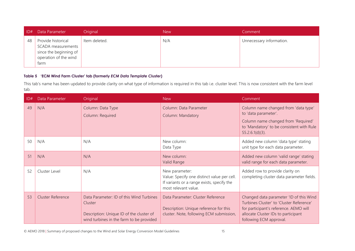| D# | Data Parameter                                                                                             | Original      | <b>New</b> | Comment                  |
|----|------------------------------------------------------------------------------------------------------------|---------------|------------|--------------------------|
| 48 | Provide historical<br><b>SCADA</b> measurements<br>since the beginning of<br>operation of the wind<br>tarm | Item deleted. | N/A        | Unnecessary information. |

#### **Table 5 'ECM Wind Farm Cluster' tab (formerly** *ECM Data Template Cluster***)**

This tab's name has been updated to provide clarity on what type of information is required in this tab i.e. cluster level. This is now consistent with the farm level tab.

<span id="page-14-0"></span>

| ID# | Data Parameter    | Original                                                                                                                                    | <b>New</b>                                                                                                                          | Comment                                                                                                                                                                                         |
|-----|-------------------|---------------------------------------------------------------------------------------------------------------------------------------------|-------------------------------------------------------------------------------------------------------------------------------------|-------------------------------------------------------------------------------------------------------------------------------------------------------------------------------------------------|
| 49  | N/A               | Column: Data Type<br>Column: Required                                                                                                       | Column: Data Parameter<br><b>Column: Mandatory</b>                                                                                  | Column name changed from 'data type'<br>to 'data parameter'.<br>Column name changed from 'Required'<br>to 'Mandatory' to be consistent with Rule<br>$S5.2.6.1(d)(3)$ .                          |
| 50  | N/A               | N/A                                                                                                                                         | New column:<br>Data Type                                                                                                            | Added new column 'data type' stating<br>unit type for each data parameter.                                                                                                                      |
| 51  | N/A               | N/A                                                                                                                                         | New column:<br>Valid Range                                                                                                          | Added new column 'valid range' stating<br>valid range for each data parameter.                                                                                                                  |
| 52  | Cluster Level     | N/A                                                                                                                                         | New parameter:<br>Value: Specify one distinct value per cell.<br>If variants or a range exists, specify the<br>most relevant value. | Added row to provide clarity on<br>completing cluster data parameter fields.                                                                                                                    |
| 53  | Cluster Reference | Data Parameter: ID of this Wind Turbines<br>Cluster<br>Description: Unique ID of the cluster of<br>wind turbines in the farm to be provided | Data Parameter: Cluster Reference<br>Description: Unique reference for this<br>cluster. Note, following ECM submission,             | Changed data parameter 'ID of this Wind<br>Turbines Cluster' to 'Cluster Reference'<br>for participant's reference. AEMO will<br>allocate Cluster IDs to participant<br>following ECM approval. |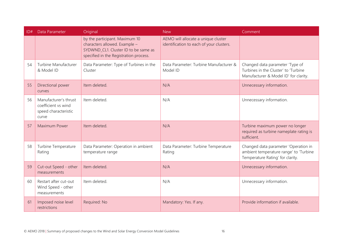| ID# | Data Parameter                                                                | Original                                                                                                                                          | <b>New</b>                                                                      | Comment                                                                                                            |
|-----|-------------------------------------------------------------------------------|---------------------------------------------------------------------------------------------------------------------------------------------------|---------------------------------------------------------------------------------|--------------------------------------------------------------------------------------------------------------------|
|     |                                                                               | by the participant. Maximum 10<br>characters allowed. Example -<br>SYDWND_CL1. Cluster ID to be same as<br>specified in the Registration process. | AEMO will allocate a unique cluster<br>identification to each of your clusters. |                                                                                                                    |
| 54  | Turbine Manufacturer<br>& Model ID                                            | Data Parameter: Type of Turbines in the<br>Cluster                                                                                                | Data Parameter: Turbine Manufacturer &<br>Model ID                              | Changed data parameter 'Type of<br>Turbines in the Cluster' to 'Turbine<br>Manufacturer & Model ID' for clarity.   |
| 55  | Directional power<br>curves                                                   | Item deleted.                                                                                                                                     | N/A                                                                             | Unnecessary information.                                                                                           |
| 56  | Manufacturer's thrust<br>coefficient vs wind<br>speed characteristic<br>curve | Item deleted.                                                                                                                                     | N/A                                                                             | Unnecessary information.                                                                                           |
| 57  | Maximum Power                                                                 | Item deleted.                                                                                                                                     | N/A                                                                             | Turbine maximum power no longer<br>required as turbine nameplate rating is<br>sufficient.                          |
| 58  | Turbine Temperature<br>Rating                                                 | Data Parameter: Operation in ambient<br>temperature range                                                                                         | Data Parameter: Turbine Temperature<br>Rating                                   | Changed data parameter 'Operation in<br>ambient temperature range' to 'Turbine<br>Temperature Rating' for clarity. |
| 59  | Cut-out Speed - other<br>measurements                                         | Item deleted.                                                                                                                                     | N/A                                                                             | Unnecessary information.                                                                                           |
| 60  | Restart after cut-out<br>Wind Speed - other<br>measurements                   | Item deleted.                                                                                                                                     | N/A                                                                             | Unnecessary information.                                                                                           |
| 61  | Imposed noise level<br>restrictions                                           | Required: No                                                                                                                                      | Mandatory: Yes. If any.                                                         | Provide information if available.                                                                                  |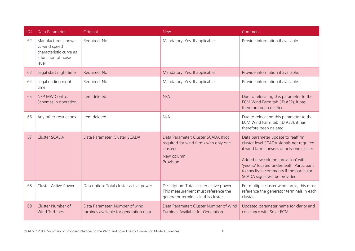| ID# | Data Parameter                                                                                   | Original                                                                 | <b>New</b>                                                                                                              | Comment                                                                                                                                                                                                                                                                                    |
|-----|--------------------------------------------------------------------------------------------------|--------------------------------------------------------------------------|-------------------------------------------------------------------------------------------------------------------------|--------------------------------------------------------------------------------------------------------------------------------------------------------------------------------------------------------------------------------------------------------------------------------------------|
| 62  | Manufacturers' power<br>vs wind speed<br>characteristic curve as<br>a function of noise<br>level | Required: No                                                             | Mandatory: Yes. If applicable.                                                                                          | Provide information if available.                                                                                                                                                                                                                                                          |
| 63  | Legal start night time                                                                           | Required: No                                                             | Mandatory: Yes. If applicable.                                                                                          | Provide information if available.                                                                                                                                                                                                                                                          |
| 64  | Legal ending night<br>time                                                                       | Required: No                                                             | Mandatory: Yes. If applicable.                                                                                          | Provide information if available.                                                                                                                                                                                                                                                          |
| 65  | <b>NSP MW Control</b><br>Schemes in operation                                                    | Item deleted.                                                            | N/A                                                                                                                     | Due to relocating this parameter to the<br>ECM Wind Farm tab (ID #32), it has<br>therefore been deleted.                                                                                                                                                                                   |
| 66  | Any other restrictions                                                                           | Item deleted.                                                            | N/A                                                                                                                     | Due to relocating this parameter to the<br>ECM Wind Farm tab (ID #33), it has<br>therefore been deleted.                                                                                                                                                                                   |
| 67  | <b>Cluster SCADA</b>                                                                             | Data Parameter: Cluster SCADA                                            | Data Parameter: Cluster SCADA (Not<br>required for wind farms with only one<br>cluster)<br>New column:<br>Provision.    | Data parameter update to reaffirm<br>cluster level SCADA signals not required<br>if wind farm consists of only one cluster.<br>Added new column 'provision' with<br>'yes/no' located underneath. Participant<br>to specify in comments if the particular<br>SCADA signal will be provided. |
| 68  | <b>Cluster Active Power</b>                                                                      | Description: Total cluster active power                                  | Description: Total cluster active power.<br>This measurement must reference the<br>generator terminals in this cluster. | For multiple cluster wind farms, this must<br>reference the generator terminals in each<br>cluster.                                                                                                                                                                                        |
| 69  | Cluster Number of<br><b>Wind Turbines</b>                                                        | Data Parameter: Number of wind<br>turbines available for generation data | Data Parameter: Cluster Number of Wind<br>Turbines Available for Generation                                             | Updated parameter name for clarity and<br>constancy with Solar ECM.                                                                                                                                                                                                                        |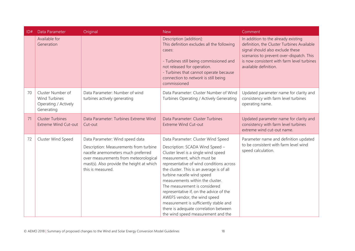| ID# | Data Parameter                                                                  | Original                                                                                                                                                                                                                   | <b>New</b>                                                                                                                                                                                                                                                                                                                                                                                                                                                                                                                                  | Comment                                                                                                                                                                                                                                  |
|-----|---------------------------------------------------------------------------------|----------------------------------------------------------------------------------------------------------------------------------------------------------------------------------------------------------------------------|---------------------------------------------------------------------------------------------------------------------------------------------------------------------------------------------------------------------------------------------------------------------------------------------------------------------------------------------------------------------------------------------------------------------------------------------------------------------------------------------------------------------------------------------|------------------------------------------------------------------------------------------------------------------------------------------------------------------------------------------------------------------------------------------|
|     | Available for<br>Generation                                                     |                                                                                                                                                                                                                            | Description [addition]:<br>This definition excludes all the following<br>cases:<br>- Turbines still being commissioned and<br>not released for operation.<br>- Turbines that cannot operate because<br>connection to network is still being<br>commissioned                                                                                                                                                                                                                                                                                 | In addition to the already existing<br>definition, the Cluster Turbines Available<br>signal should also exclude these<br>scenarios to prevent over-dispatch. This<br>is now consistent with farm level turbines<br>available definition. |
| 70  | Cluster Number of<br><b>Wind Turbines</b><br>Operating / Actively<br>Generating | Data Parameter: Number of wind<br>turbines actively generating                                                                                                                                                             | Data Parameter: Cluster Number of Wind<br>Turbines Operating / Actively Generating                                                                                                                                                                                                                                                                                                                                                                                                                                                          | Updated parameter name for clarity and<br>consistency with farm level turbines<br>operating name.                                                                                                                                        |
| 71  | <b>Cluster Turbines</b><br><b>Extreme Wind Cut-out</b>                          | Data Parameter: Turbines Extreme Wind<br>Cut-out                                                                                                                                                                           | Data Parameter: Cluster Turbines<br><b>Extreme Wind Cut-out</b>                                                                                                                                                                                                                                                                                                                                                                                                                                                                             | Updated parameter name for clarity and<br>consistency with farm level turbines<br>extreme wind cut-out name.                                                                                                                             |
| 72  | Cluster Wind Speed                                                              | Data Parameter: Wind speed data<br>Description: Measurements from turbine<br>nacelle anemometers much preferred<br>over measurements from meteorological<br>mast(s). Also provide the height at which<br>this is measured. | Data Parameter: Cluster Wind Speed<br>Description: SCADA Wind Speed -<br>Cluster level is a single wind speed<br>measurement, which must be<br>representative of wind conditions across<br>the cluster. This is an average is of all<br>turbine nacelle wind speed<br>measurements within the cluster.<br>The measurement is considered<br>representative if, on the advice of the<br>AWEFS vendor, the wind speed<br>measurement is sufficiently stable and<br>there is adequate correlation between<br>the wind speed measurement and the | Parameter name and definition updated<br>to be consistent with farm level wind<br>speed calculation.                                                                                                                                     |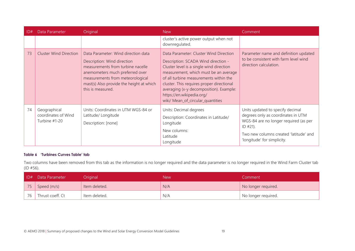| ID# | Data Parameter                                       | Original                                                                                                                                                                                                                                        | <b>New</b>                                                                                                                                                                                                                                                                                                                                                             | Comment                                                                                                                                                                                              |
|-----|------------------------------------------------------|-------------------------------------------------------------------------------------------------------------------------------------------------------------------------------------------------------------------------------------------------|------------------------------------------------------------------------------------------------------------------------------------------------------------------------------------------------------------------------------------------------------------------------------------------------------------------------------------------------------------------------|------------------------------------------------------------------------------------------------------------------------------------------------------------------------------------------------------|
|     |                                                      |                                                                                                                                                                                                                                                 | cluster's active power output when not<br>downregulated.                                                                                                                                                                                                                                                                                                               |                                                                                                                                                                                                      |
| 73  | <b>Cluster Wind Direction</b>                        | Data Parameter: Wind direction data<br>Description: Wind direction<br>measurements from turbine nacelle<br>anemometers much preferred over<br>measurements from meteorological<br>mast(s) Also provide the height at which<br>this is measured. | Data Parameter: Cluster Wind Direction<br>Description: SCADA Wind direction -<br>Cluster level is a single wind direction<br>measurement, which must be an average<br>of all turbine measurements within the<br>cluster. This requires proper directional<br>averaging (x-y decomposition). Example:<br>https://en.wikipedia.org/<br>wiki/ Mean_of_circular_quantities | Parameter name and definition updated<br>to be consistent with farm level wind<br>direction calculation.                                                                                             |
| 74  | Geographical<br>coordinates of Wind<br>Turbine #1-20 | Units: Coordinates in UTM WGS-84 or<br>Latitude/ Longitude<br>Description: [none]                                                                                                                                                               | Units: Decimal degrees<br>Description: Coordinates in Latitude/<br>Longitude<br>New columns:<br>Latitude<br>Longitude                                                                                                                                                                                                                                                  | Units updated to specify decimal<br>degrees only as coordinates in UTM<br>WGS-84 are no longer required (as per<br>ID #21).<br>Two new columns created 'latitude' and<br>'longitude' for simplicity. |

#### **Table 6 'Turbines Curves Table' tab**

Two columns have been removed from this tab as the information is no longer required and the data parameter is no longer required in the Wind Farm Cluster tab (ID #56).

<span id="page-18-0"></span>

|    | ID# Data Parameter | Original      | <b>New</b> | Comment             |
|----|--------------------|---------------|------------|---------------------|
|    | Speed (m/s)        | Item deleted. | N/A        | No longer required. |
| 76 | Thrust coeff. Ct   | Item deleted. | N/A        | No longer required. |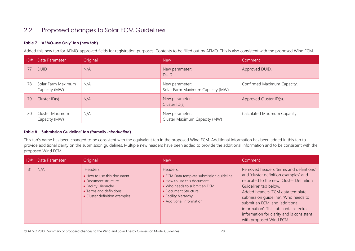### 2.2 Proposed changes to Solar ECM Guidelines

#### **Table 7 'AEMO-use Only' tab (new tab)**

Added this new tab for AEMO-approved fields for registration purposes. Contents to be filled out by AEMO. This is also consistent with the proposed Wind ECM.

| ID# | Data Parameter                      | Original | <b>New</b>                                         | Comment                      |
|-----|-------------------------------------|----------|----------------------------------------------------|------------------------------|
| 77  | <b>DUID</b>                         | N/A      | New parameter:<br><b>DUID</b>                      | Approved DUID.               |
| 78  | Solar Farm Maximum<br>Capacity (MW) | N/A      | New parameter:<br>Solar Farm Maximum Capacity (MW) | Confirmed Maximum Capacity.  |
| 79  | Cluster $ID(s)$                     | N/A      | New parameter:<br>Cluster ID(s)                    | Approved Cluster ID(s).      |
| 80  | Cluster Maximum<br>Capacity (MW)    | N/A      | New parameter:<br>Cluster Maximum Capacity (MW)    | Calculated Maximum Capacity. |

#### <span id="page-19-0"></span>**Table 8 'Submission Guideline' tab (formally** *Introduction***)**

<span id="page-19-1"></span>This tab's name has been changed to be consistent with the equivalent tab in the proposed Wind ECM. Additional information has been added in this tab to provide additional clarity on the submission guidelines. Multiple new headers have been added to provide the additional information and to be consistent with the proposed Wind ECM.

<span id="page-19-2"></span>

| D# | Data Parameter | Original                                                                                                                                           | <b>New</b>                                                                                                                                                                                     | Comment                                                                                                                                                                                                                                                                                                                                                                              |
|----|----------------|----------------------------------------------------------------------------------------------------------------------------------------------------|------------------------------------------------------------------------------------------------------------------------------------------------------------------------------------------------|--------------------------------------------------------------------------------------------------------------------------------------------------------------------------------------------------------------------------------------------------------------------------------------------------------------------------------------------------------------------------------------|
| 81 | N/A            | Headers:<br>• How to use this document<br>• Document structure<br>• Facility Hierarchy<br>• Terms and definitions<br>• Cluster definition examples | Headers:<br>• ECM Data template submission quideline<br>• How to use this document<br>• Who needs to submit an ECM<br>• Document Structure<br>• Facility hierarchy<br>• Additional Information | Removed headers 'terms and definitions'<br>and 'cluster definition examples' and<br>relocated to the new 'Cluster Definition<br>Guideline' tab below.<br>Added headers 'ECM data template<br>submission quideline', 'Who needs to<br>submit an ECM' and 'additional<br>information'. This tab contains extra<br>information for clarity and is consistent<br>with proposed Wind ECM. |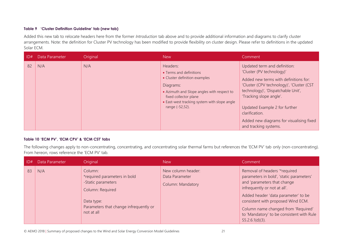#### **Table 9 'Cluster Definition Guideline' tab (new tab)**

Added this new tab to relocate headers here from the former *Introduction* tab above and to provide additional information and diagrams to clarify cluster arrangements. Note: the definition for Cluster PV technology has been modified to provide flexibility on cluster design. Please refer to definitions in the updated Solar ECM.

| ID# | Data Parameter | Original | <b>New</b>                                                                                                                                                                                                                  | Comment                                                                                                                                                                                                                                                                                                                                  |
|-----|----------------|----------|-----------------------------------------------------------------------------------------------------------------------------------------------------------------------------------------------------------------------------|------------------------------------------------------------------------------------------------------------------------------------------------------------------------------------------------------------------------------------------------------------------------------------------------------------------------------------------|
| 82  | N/A            | N/A      | Headers:<br>• Terms and definitions<br>• Cluster definition examples<br>Diagrams:<br>• Azimuth and Slope angles with respect to<br>fixed collector plane<br>• East-west tracking system with slope angle<br>range (-52,52). | Updated term and definition:<br>'Cluster (PV technology)'<br>Added new terms with definitions for:<br>'Cluster (CPV technology)', 'Cluster (CST<br>technology)', 'Dispatchable Unit',<br>'Tracking slope angle'.<br>Updated Example 2 for further<br>clarification.<br>Added new diagrams for visualising fixed<br>and tracking systems. |

#### <span id="page-20-0"></span>**Table 10 'ECM PV', 'ECM CPV' & 'ECM CST' tabs**

The following changes apply to non-concentrating, concentrating, and concentrating solar thermal farms but references the 'ECM PV' tab only (non-concentrating). From hereon, rows reference the 'ECM PV' tab.

<span id="page-20-1"></span>

| D# | Data Parameter | Original                                                                                                                                                | <b>New</b>                                                       | Comment                                                                                                                                                                                                                                                                                                                        |
|----|----------------|---------------------------------------------------------------------------------------------------------------------------------------------------------|------------------------------------------------------------------|--------------------------------------------------------------------------------------------------------------------------------------------------------------------------------------------------------------------------------------------------------------------------------------------------------------------------------|
| 83 | N/A            | Column:<br>*required parameters in bold<br>-Static parameters<br>Column: Required<br>Data type:<br>Parameters that change infrequently or<br>not at all | New column header:<br>Data Parameter<br><b>Column: Mandatory</b> | Removal of headers "required<br>parameters in bold', 'static parameters'<br>and 'parameters that change<br>infrequently or not at all'.<br>Added header 'data parameter' to be<br>consistent with proposed Wind ECM.<br>Column name changed from 'Required'<br>to 'Mandatory' to be consistent with Rule<br>$S5.2.6.1(d)(3)$ . |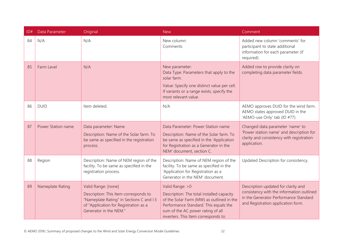| ID# | Data Parameter     | Original                                                                                                                                                                    | <b>New</b>                                                                                                                                                                                                                      | Comment                                                                                                                                                         |
|-----|--------------------|-----------------------------------------------------------------------------------------------------------------------------------------------------------------------------|---------------------------------------------------------------------------------------------------------------------------------------------------------------------------------------------------------------------------------|-----------------------------------------------------------------------------------------------------------------------------------------------------------------|
| 84  | N/A                | N/A                                                                                                                                                                         | New column:<br>Comments                                                                                                                                                                                                         | Added new column 'comments' for<br>participant to state additional<br>information for each parameter (if<br>required).                                          |
| 85  | Farm Level         | N/A                                                                                                                                                                         | New parameter:<br>Data Type: Parameters that apply to the<br>solar farm.<br>Value: Specify one distinct value per cell.<br>If variants or a range exists, specify the<br>most relevant value.                                   | Added row to provide clarity on<br>completing data parameter fields.                                                                                            |
| 86  | <b>DUID</b>        | Item deleted.                                                                                                                                                               | N/A                                                                                                                                                                                                                             | AEMO approves DUID for the wind farm.<br>AEMO states approved DUID in the<br>'AEMO-use Only' tab (ID #77).                                                      |
| 87  | Power Station name | Data parameter: Name<br>Description: Name of the Solar farm. To<br>be same as specified in the registration<br>process.                                                     | Data Parameter: Power Station name<br>Description: Name of the Solar farm. To<br>be same as specified in the 'Application<br>for Registration as a Generator in the<br>NEM' document, section C.                                | Changed data parameter 'name' to<br>'Power station name' and description for<br>clarity and consistency with registration<br>application.                       |
| 88  | Region             | Description: Name of NEM region of the<br>facility. To be same as specified in the<br>registration process.                                                                 | Description: Name of NEM region of the<br>facility. To be same as specified in the<br>'Application for Registration as a<br>Generator in the NEM' document.                                                                     | Updated Description for consistency.                                                                                                                            |
| 89  | Nameplate Rating   | Valid Range: [none]<br>Description: This Item corresponds to<br>"Nameplate Rating" in Sections C and I.5<br>of "Application for Registration as a<br>Generator in the NEM." | Valid Range: > 0<br>Description: The total installed capacity<br>of the Solar Farm (MW) as outlined in the<br>Performance Standard. This equals the<br>sum of the AC power rating of all<br>inverters. This Item corresponds to | Description updated for clarity and<br>consistency with the information outlined<br>in the Generator Performance Standard<br>and Registration application form. |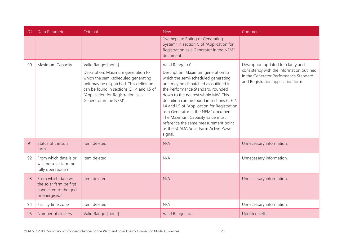| ID# | Data Parameter                                                                            | Original                                                                                                                                                                                                                                                  | <b>New</b>                                                                                                                                                                                                                                                                                                                                                                                                                                                                             | Comment                                                                                                                                                         |
|-----|-------------------------------------------------------------------------------------------|-----------------------------------------------------------------------------------------------------------------------------------------------------------------------------------------------------------------------------------------------------------|----------------------------------------------------------------------------------------------------------------------------------------------------------------------------------------------------------------------------------------------------------------------------------------------------------------------------------------------------------------------------------------------------------------------------------------------------------------------------------------|-----------------------------------------------------------------------------------------------------------------------------------------------------------------|
|     |                                                                                           |                                                                                                                                                                                                                                                           | "Nameplate Rating of Generating<br>System" in section C of "Application for<br>Registration as a Generator in the NEM"<br>document.                                                                                                                                                                                                                                                                                                                                                    |                                                                                                                                                                 |
| 90  | Maximum Capacity                                                                          | Valid Range: [none]<br>Description: Maximum generation to<br>which the semi-scheduled generating<br>unit may be dispatched. This definition<br>can be found in sections C, I.4 and I.5 of<br>"Application for Registration as a<br>Generator in the NEM", | Valid Range: > 0<br>Description: Maximum generation to<br>which the semi-scheduled generating<br>unit may be dispatched as outlined in<br>the Performance Standard, rounded<br>down to the nearest whole MW. This<br>definition can be found in sections C, F.2,<br>I.4 and I.5 of "Application for Registration<br>as a Generator in the NEM" document.<br>The Maximum Capacity value must<br>reference the same measurement point<br>as the SCADA Solar Farm Active Power<br>signal. | Description updated for clarity and<br>consistency with the information outlined<br>in the Generator Performance Standard<br>and Registration application form. |
| 91  | Status of the solar<br>farm                                                               | Item deleted.                                                                                                                                                                                                                                             | N/A                                                                                                                                                                                                                                                                                                                                                                                                                                                                                    | Unnecessary information.                                                                                                                                        |
| 92  | From which date is or<br>will the solar farm be<br>fully operational?                     | Item deleted.                                                                                                                                                                                                                                             | N/A                                                                                                                                                                                                                                                                                                                                                                                                                                                                                    | Unnecessary information.                                                                                                                                        |
| 93  | From which date will<br>the solar farm be first<br>connected to the grid<br>or energised? | Item deleted.                                                                                                                                                                                                                                             | N/A                                                                                                                                                                                                                                                                                                                                                                                                                                                                                    | Unnecessary information.                                                                                                                                        |
| 94  | Facility time zone                                                                        | Item deleted.                                                                                                                                                                                                                                             | N/A                                                                                                                                                                                                                                                                                                                                                                                                                                                                                    | Unnecessary information.                                                                                                                                        |
| 95  | Number of clusters                                                                        | Valid Range: [none]                                                                                                                                                                                                                                       | Valid Range: n/a                                                                                                                                                                                                                                                                                                                                                                                                                                                                       | Updated cells.                                                                                                                                                  |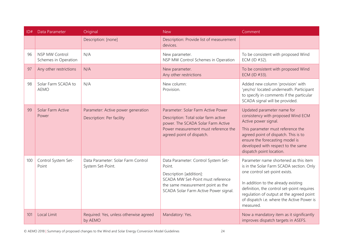| ID# | Data Parameter                                | Original                                                        | <b>New</b>                                                                                                                                                                                  | Comment                                                                                                                                                                                                                                                                                                        |
|-----|-----------------------------------------------|-----------------------------------------------------------------|---------------------------------------------------------------------------------------------------------------------------------------------------------------------------------------------|----------------------------------------------------------------------------------------------------------------------------------------------------------------------------------------------------------------------------------------------------------------------------------------------------------------|
|     |                                               | Description: [none]                                             | Description: Provide list of measurement<br>devices.                                                                                                                                        |                                                                                                                                                                                                                                                                                                                |
| 96  | <b>NSP MW Control</b><br>Schemes in Operation | N/A                                                             | New parameter.<br>NSP MW Control Schemes in Operation                                                                                                                                       | To be consistent with proposed Wind<br>ECM (ID #32).                                                                                                                                                                                                                                                           |
| 97  | Any other restrictions                        | N/A                                                             | New parameter.<br>Any other restrictions                                                                                                                                                    | To be consistent with proposed Wind<br>ECM (ID #33).                                                                                                                                                                                                                                                           |
| 98  | Solar Farm SCADA to<br><b>AEMO</b>            | N/A                                                             | New column:<br>Provision.                                                                                                                                                                   | Added new column 'provision' with<br>'yes/no' located underneath. Participant<br>to specify in comments if the particular<br>SCADA signal will be provided.                                                                                                                                                    |
| 99  | Solar Farm Active<br>Power                    | Parameter: Active power generation<br>Description: Per facility | Parameter: Solar Farm Active Power<br>Description: Total solar farm active<br>power. The SCADA Solar Farm Active<br>Power measurement must reference the<br>agreed point of dispatch.       | Updated parameter name for<br>consistency with proposed Wind ECM<br>Active power signal.<br>This parameter must reference the<br>agreed point of dispatch. This is to<br>ensure the forecasting model is<br>developed with respect to the same<br>dispatch point location.                                     |
| 100 | Control System Set-<br>Point                  | Data Parameter: Solar Farm Control<br>System Set-Point.         | Data Parameter: Control System Set-<br>Point.<br>Description [addition]:<br>SCADA MW Set-Point must reference<br>the same measurement point as the<br>SCADA Solar Farm Active Power signal. | Parameter name shortened as this item<br>is in the Solar Farm SCADA section. Only<br>one control set-point exists.<br>In addition to the already existing<br>definition, the control set-point requires<br>regulation of output at the agreed point<br>of dispatch i.e. where the Active Power is<br>measured. |
| 101 | Local Limit                                   | Required: Yes, unless otherwise agreed<br>by AEMO               | Mandatory: Yes.                                                                                                                                                                             | Now a mandatory item as it significantly<br>improves dispatch targets in ASEFS.                                                                                                                                                                                                                                |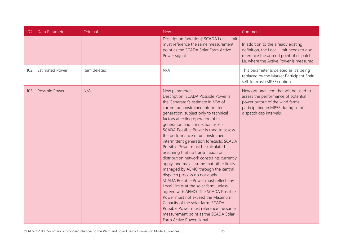| ID# | Data Parameter         | Original      | <b>New</b>                                                                                                                                                                                                                                                                                                                                                                                                                                                                                                                                                                                                                                                                                                                                                                                                                                                                                                                                     | Comment                                                                                                                                                                          |
|-----|------------------------|---------------|------------------------------------------------------------------------------------------------------------------------------------------------------------------------------------------------------------------------------------------------------------------------------------------------------------------------------------------------------------------------------------------------------------------------------------------------------------------------------------------------------------------------------------------------------------------------------------------------------------------------------------------------------------------------------------------------------------------------------------------------------------------------------------------------------------------------------------------------------------------------------------------------------------------------------------------------|----------------------------------------------------------------------------------------------------------------------------------------------------------------------------------|
|     |                        |               | Description [addition]: SCADA Local Limit<br>must reference the same measurement<br>point as the SCADA Solar Farm Active<br>Power signal.                                                                                                                                                                                                                                                                                                                                                                                                                                                                                                                                                                                                                                                                                                                                                                                                      | In addition to the already existing<br>definition, the Local Limit needs to also<br>reference the agreed point of dispatch<br>i.e. where the Active Power is measured.           |
| 102 | <b>Estimated Power</b> | Item deleted. | N/A                                                                                                                                                                                                                                                                                                                                                                                                                                                                                                                                                                                                                                                                                                                                                                                                                                                                                                                                            | This parameter is deleted as it's being<br>replaced by the Market Participant 5min<br>self-forecast (MP5F) option.                                                               |
| 103 | Possible Power         | N/A           | New parameter:<br>Description: SCADA Possible Power is<br>the Generator's estimate in MW of<br>current unconstrained intermittent<br>generation, subject only to technical<br>factors affecting operation of its<br>generation and connection assets.<br>SCADA Possible Power is used to assess<br>the performance of unconstrained<br>intermittent generation forecasts. SCADA<br>Possible Power must be calculated<br>assuming that no transmission or<br>distribution network constraints currently<br>apply, and may assume that other limits<br>managed by AEMO through the central<br>dispatch process do not apply.<br>SCADA Possible Power must reflect any<br>Local Limits at the solar farm, unless<br>agreed with AEMO. The SCADA Possible<br>Power must not exceed the Maximum<br>Capacity of the solar farm. SCADA<br>Possible Power must reference the same<br>measurement point as the SCADA Solar<br>Farm Active Power signal. | New optional item that will be used to<br>assess the performance of potential<br>power output of the wind farms<br>participating in MP5F during semi-<br>dispatch cap intervals. |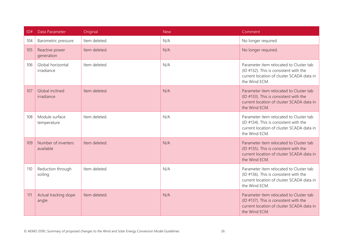| ID# | Data Parameter                   | Original      | <b>New</b> | Comment                                                                                                                                         |
|-----|----------------------------------|---------------|------------|-------------------------------------------------------------------------------------------------------------------------------------------------|
| 104 | Barometric pressure              | Item deleted. | N/A        | No longer required.                                                                                                                             |
| 105 | Reactive power<br>generation     | Item deleted. | N/A        | No longer required.                                                                                                                             |
| 106 | Global horizontal<br>irradiance  | Item deleted. | N/A        | Parameter item relocated to Cluster tab<br>(ID #132). This is consistent with the<br>current location of cluster SCADA data in<br>the Wind ECM. |
| 107 | Global inclined<br>irradiance    | Item deleted. | N/A        | Parameter item relocated to Cluster tab<br>(ID #133). This is consistent with the<br>current location of cluster SCADA data in<br>the Wind ECM. |
| 108 | Module surface<br>temperature    | Item deleted. | N/A        | Parameter item relocated to Cluster tab<br>(ID #134). This is consistent with the<br>current location of cluster SCADA data in<br>the Wind ECM. |
| 109 | Number of inverters<br>available | Item deleted. | N/A        | Parameter item relocated to Cluster tab<br>(ID #135). This is consistent with the<br>current location of cluster SCADA data in<br>the Wind ECM. |
| 110 | Reduction through<br>soiling     | Item deleted. | N/A        | Parameter item relocated to Cluster tab<br>(ID #136). This is consistent with the<br>current location of cluster SCADA data in<br>the Wind ECM. |
| 111 | Actual tracking slope<br>angle   | Item deleted. | N/A        | Parameter item relocated to Cluster tab<br>(ID #137). This is consistent with the<br>current location of cluster SCADA data in<br>the Wind ECM. |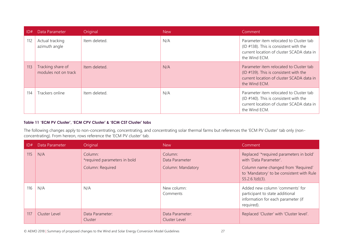| ID# | Data Parameter                            | Original      | <b>New</b> | Comment                                                                                                                                             |
|-----|-------------------------------------------|---------------|------------|-----------------------------------------------------------------------------------------------------------------------------------------------------|
| 112 | Actual tracking<br>azimuth angle          | Item deleted. | N/A        | Parameter item relocated to Cluster tab<br>(ID $#138$ ). This is consistent with the<br>current location of cluster SCADA data in<br>the Wind ECM.  |
| 113 | Tracking share of<br>modules not on track | Item deleted. | N/A        | Parameter item relocated to Cluster tab<br>(ID $\#$ 139). This is consistent with the<br>current location of cluster SCADA data in<br>the Wind ECM. |
| 114 | Trackers online                           | Item deleted. | N/A        | Parameter item relocated to Cluster tab<br>(ID $#140$ ). This is consistent with the<br>current location of cluster SCADA data in<br>the Wind ECM.  |

#### **Table 11 'ECM PV Cluster', 'ECM CPV Cluster' & 'ECM CST Cluster' tabs**

The following changes apply to non-concentrating, concentrating, and concentrating solar thermal farms but references the 'ECM PV Cluster' tab only (nonconcentrating). From hereon, rows reference the 'ECM PV cluster' tab.

<span id="page-26-0"></span>

| ID# | Data Parameter | Original                                                    | <b>New</b>                                            | Comment                                                                                                                                                                     |
|-----|----------------|-------------------------------------------------------------|-------------------------------------------------------|-----------------------------------------------------------------------------------------------------------------------------------------------------------------------------|
| 115 | N/A            | Column:<br>*required parameters in bold<br>Column: Required | Column:<br>Data Parameter<br><b>Column: Mandatory</b> | Replaced '*required parameters in bold'<br>with 'Data Parameter'.<br>Column name changed from 'Required'<br>to 'Mandatory' to be consistent with Rule<br>$S5.2.6.1(d)(3)$ . |
| 116 | N/A            | N/A                                                         | New column:<br>Comments                               | Added new column 'comments' for<br>participant to state additional<br>information for each parameter (if<br>required).                                                      |
| 117 | Cluster Level  | Data Parameter:<br>Cluster                                  | Data Parameter:<br>Cluster Level                      | Replaced 'Cluster' with 'Cluster level'.                                                                                                                                    |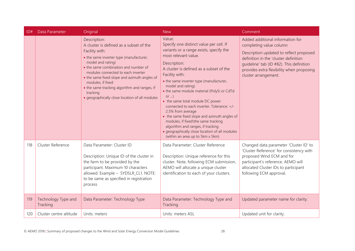| ID# | Data Parameter                  | Original                                                                                                                                                                                                                                                                                                                                                                                                   | <b>New</b>                                                                                                                                                                                                                                                                                                                                                                                                                                                                                                                                                                                                                                       | Comment                                                                                                                                                                                                                                                          |
|-----|---------------------------------|------------------------------------------------------------------------------------------------------------------------------------------------------------------------------------------------------------------------------------------------------------------------------------------------------------------------------------------------------------------------------------------------------------|--------------------------------------------------------------------------------------------------------------------------------------------------------------------------------------------------------------------------------------------------------------------------------------------------------------------------------------------------------------------------------------------------------------------------------------------------------------------------------------------------------------------------------------------------------------------------------------------------------------------------------------------------|------------------------------------------------------------------------------------------------------------------------------------------------------------------------------------------------------------------------------------------------------------------|
|     |                                 | Description:<br>A cluster is defined as a subset of the<br>Facility with:<br>• the same inverter type (manufacturer,<br>model and rating)<br>• the same combination and number of<br>modules connected to each inverter<br>• the same fixed slope and azimuth angles of<br>modules, if fixed<br>• the same tracking algorithm and ranges, if<br>tracking<br>· geographically close location of all modules | Value:<br>Specify one distinct value per cell. If<br>variants or a range exists, specify the<br>most relevant value.<br>Description:<br>A cluster is defined as a subset of the<br>Facility with:<br>• the same inverter type (manufacturer,<br>model and rating)<br>• the same module material (PolySi or CdTd<br>or )<br>• the same total module DC power<br>connected to each inverter. Tolerance: +/-<br>2.5% from average<br>• the same fixed slope and azimuth angles of<br>modules, if fixed\the same tracking<br>algorithm and ranges, if tracking<br>· geographically close location of all modules<br>(within an area up to 5km x 5km) | Added additional information for<br>completing value column<br>Description updated to reflect proposed<br>definition in the 'cluster definition<br>quideline' tab (ID #82). This definition<br>provides extra flexibility when proposing<br>cluster arrangement. |
| 118 | Cluster Reference               | Data Parameter: Cluster ID<br>Description: Unique ID of the cluster in<br>the farm to be provided by the<br>participant. Maximum 10 characters<br>allowed. Example - SYDSLR_CL1. NOTE:<br>to be same as specified in registration<br>process                                                                                                                                                               | Data Parameter: Cluster Reference<br>Description: Unique reference for this<br>cluster. Note, following ECM submission,<br>AEMO will allocate a unique cluster<br>identification to each of your clusters.                                                                                                                                                                                                                                                                                                                                                                                                                                       | Changed data parameter 'Cluster ID' to<br>'Cluster Reference' for consistency with<br>proposed Wind ECM and for<br>participant's reference. AEMO will<br>allocated Cluster IDs to participant<br>following ECM approval.                                         |
| 119 | Technology Type and<br>Tracking | Data Parameter: Technology Type                                                                                                                                                                                                                                                                                                                                                                            | Data Parameter: Technology Type and<br>Tracking                                                                                                                                                                                                                                                                                                                                                                                                                                                                                                                                                                                                  | Updated parameter name for clarity.                                                                                                                                                                                                                              |
| 120 | Cluster centre altitude         | Units: meters                                                                                                                                                                                                                                                                                                                                                                                              | Units: meters ASL                                                                                                                                                                                                                                                                                                                                                                                                                                                                                                                                                                                                                                | Updated unit for clarity.                                                                                                                                                                                                                                        |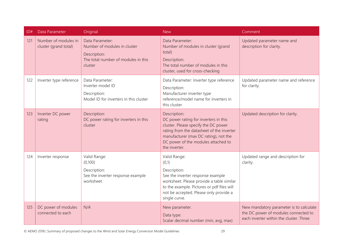| ID# | Data Parameter                                | Original                                                                                                          | <b>New</b>                                                                                                                                                                                                                                  | Comment                                                                                                                    |
|-----|-----------------------------------------------|-------------------------------------------------------------------------------------------------------------------|---------------------------------------------------------------------------------------------------------------------------------------------------------------------------------------------------------------------------------------------|----------------------------------------------------------------------------------------------------------------------------|
| 121 | Number of modules in<br>cluster (grand total) | Data Parameter:<br>Number of modules in cluster<br>Description:<br>The total number of modules in this<br>cluster | Data Parameter:<br>Number of modules in cluster (grand<br>total)<br>Description:<br>The total number of modules in this<br>cluster, used for cross-checking                                                                                 | Updated parameter name and<br>description for clarity.                                                                     |
| 122 | Inverter type reference                       | Data Parameter:<br>Inverter model ID<br>Description:<br>Model ID for inverters in this cluster                    | Data Parameter: Inverter type reference<br>Description:<br>Manufacturer inverter type<br>reference/model name for inverters in<br>this cluster                                                                                              | Updated parameter name and reference<br>for clarity.                                                                       |
| 123 | Inverter DC power<br>rating                   | Description:<br>DC power rating for inverters in this<br>cluster                                                  | Description:<br>DC power rating for inverters in this<br>cluster. Please specify the DC power<br>rating from the datasheet of the inverter<br>manufacturer (max DC rating), not the<br>DC power of the modules attached to<br>the inverter. | Updated description for clarity.                                                                                           |
| 124 | Inverter response                             | Valid Range:<br>(0,100)<br>Description:<br>See the inverter response example<br>worksheet                         | Valid Range:<br>(0,1)<br>Description:<br>See the inverter response example<br>worksheet. Please provide a table similar<br>to the example. Pictures or pdf files will<br>not be accepted. Please only provide a<br>single curve.            | Updated range and description for<br>clarity.                                                                              |
| 125 | DC power of modules<br>connected to each      | N/A                                                                                                               | New parameter.<br>Data type:<br>Scalar decimal number (min, avg, max)                                                                                                                                                                       | New mandatory parameter is to calculate<br>the DC power of modules connected to<br>each inverter within the cluster. Three |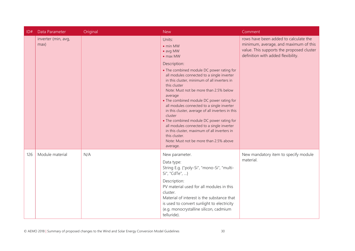| ID# | Data Parameter              | Original | <b>New</b>                                                                                                                                                                                                                                                                                                                                                                                                                                                                                                                                                                                                | Comment                                                                                                                                                           |
|-----|-----------------------------|----------|-----------------------------------------------------------------------------------------------------------------------------------------------------------------------------------------------------------------------------------------------------------------------------------------------------------------------------------------------------------------------------------------------------------------------------------------------------------------------------------------------------------------------------------------------------------------------------------------------------------|-------------------------------------------------------------------------------------------------------------------------------------------------------------------|
|     | inverter (min, avg,<br>max) |          | Units:<br>$\bullet$ min MW<br>• avg MW<br>$\bullet$ max MW                                                                                                                                                                                                                                                                                                                                                                                                                                                                                                                                                | rows have been added to calculate the<br>minimum, average, and maximum of this<br>value. This supports the proposed cluster<br>definition with added flexibility. |
|     |                             |          | Description:<br>• The combined module DC power rating for<br>all modules connected to a single inverter<br>in this cluster, minimum of all inverters in<br>this cluster<br>Note: Must not be more than 2.5% below<br>average<br>• The combined module DC power rating for<br>all modules connected to a single inverter<br>in this cluster, average of all inverters in this<br>cluster<br>• The combined module DC power rating for<br>all modules connected to a single inverter<br>in this cluster, maximum of all inverters in<br>this cluster.<br>Note: Must not be more than 2.5% above<br>average. |                                                                                                                                                                   |
| 126 | Module material             | N/A      | New parameter.<br>Data type:<br>String E.g. {"poly-Si", "mono-Si", "multi-<br>Si", "CdTe", }<br>Description:<br>PV material used for all modules in this<br>cluster.<br>Material of interest is the substance that<br>is used to convert sunlight to electricity<br>(e.g. monocrystalline silicon, cadmium<br>telluride).                                                                                                                                                                                                                                                                                 | New mandatory item to specify module<br>material.                                                                                                                 |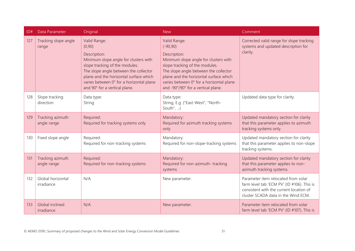| ID# | Data Parameter                  | Original                                                                                                                                                                                                                                                                           | <b>New</b>                                                                                                                                                                                                                                                                                  | Comment                                                                                                                                                             |
|-----|---------------------------------|------------------------------------------------------------------------------------------------------------------------------------------------------------------------------------------------------------------------------------------------------------------------------------|---------------------------------------------------------------------------------------------------------------------------------------------------------------------------------------------------------------------------------------------------------------------------------------------|---------------------------------------------------------------------------------------------------------------------------------------------------------------------|
| 127 | Tracking slope angle<br>range   | Valid Range:<br>(0, 90)<br>Description:<br>Minimum slope angle for clusters with<br>slope tracking of the modules.<br>The slope angle between the collector<br>plane and the horizontal surface which<br>varies between 0° for a horizontal plane<br>and 90° for a vertical plane. | Valid Range:<br>$(-90, 90)$<br>Description:<br>Minimum slope angle for clusters with<br>slope tracking of the modules.<br>The slope angle between the collector<br>plane and the horizontal surface which<br>varies between 0° for a horizontal plane<br>and -90°/90° for a vertical plane. | Corrected valid range for slope tracking<br>systems and updated description for<br>clarity.                                                                         |
| 128 | Slope tracking<br>direction     | Data type:<br>String                                                                                                                                                                                                                                                               | Data type:<br>String, E.g. {"East-West", "North-<br>South", }                                                                                                                                                                                                                               | Updated data type for clarity.                                                                                                                                      |
| 129 | Tracking azimuth<br>angle range | Required:<br>Required for tracking systems only                                                                                                                                                                                                                                    | Mandatory:<br>Required for azimuth tracking systems<br>only                                                                                                                                                                                                                                 | Updated mandatory section for clarity<br>that this parameter applies to azimuth<br>tracking systems only.                                                           |
| 130 | Fixed slope angle               | Required:<br>Required for non-tracking systems                                                                                                                                                                                                                                     | Mandatory:<br>Required for non-slope-tracking systems                                                                                                                                                                                                                                       | Updated mandatory section for clarity<br>that this parameter applies to non-slope<br>tracking systems.                                                              |
| 131 | Tracking azimuth<br>angle range | Required:<br>Required for non-tracking systems                                                                                                                                                                                                                                     | Mandatory:<br>Required for non-azimuth-tracking<br>systems                                                                                                                                                                                                                                  | Updated mandatory section for clarity<br>that this parameter applies to non-<br>azimuth tracking systems.                                                           |
| 132 | Global horizontal<br>irradiance | N/A                                                                                                                                                                                                                                                                                | New parameter.                                                                                                                                                                                                                                                                              | Parameter item relocated from solar<br>farm level tab 'ECM PV' (ID #106). This is<br>consistent with the current location of<br>cluster SCADA data in the Wind ECM. |
| 133 | Global inclined<br>irradiance   | N/A                                                                                                                                                                                                                                                                                | New parameter.                                                                                                                                                                                                                                                                              | Parameter item relocated from solar<br>farm level tab 'ECM PV' (ID #107). This is                                                                                   |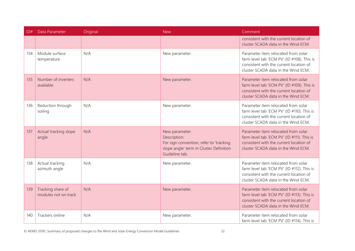| ID# | Data Parameter                            | Original | <b>New</b>                                                                                                                             | Comment                                                                                                                                                             |
|-----|-------------------------------------------|----------|----------------------------------------------------------------------------------------------------------------------------------------|---------------------------------------------------------------------------------------------------------------------------------------------------------------------|
|     |                                           |          |                                                                                                                                        | consistent with the current location of<br>cluster SCADA data in the Wind ECM.                                                                                      |
| 134 | Module surface<br>temperature             | N/A      | New parameter.                                                                                                                         | Parameter item relocated from solar<br>farm level tab 'ECM PV' (ID #108). This is<br>consistent with the current location of<br>cluster SCADA data in the Wind ECM. |
| 135 | Number of inverters<br>available          | N/A      | New parameter.                                                                                                                         | Parameter item relocated from solar<br>farm level tab 'ECM PV' (ID #109). This is<br>consistent with the current location of<br>cluster SCADA data in the Wind ECM. |
| 136 | Reduction through<br>soiling              | N/A      | New parameter.                                                                                                                         | Parameter item relocated from solar<br>farm level tab 'ECM PV' (ID #110). This is<br>consistent with the current location of<br>cluster SCADA data in the Wind ECM. |
| 137 | Actual tracking slope<br>angle            | N/A      | New parameter.<br>Description:<br>For sign convention, refer to 'tracking<br>slope angle' term in Cluster Definition<br>Guideline tab. | Parameter item relocated from solar<br>farm level tab 'ECM PV' (ID #111). This is<br>consistent with the current location of<br>cluster SCADA data in the Wind ECM. |
| 138 | Actual tracking<br>azimuth angle          | N/A      | New parameter.                                                                                                                         | Parameter item relocated from solar<br>farm level tab 'ECM PV' (ID #112). This is<br>consistent with the current location of<br>cluster SCADA data in the Wind ECM. |
| 139 | Tracking share of<br>modules not on track | N/A      | New parameter.                                                                                                                         | Parameter item relocated from solar<br>farm level tab 'ECM PV' (ID #113). This is<br>consistent with the current location of<br>cluster SCADA data in the Wind ECM. |
| 140 | Trackers online                           | N/A      | New parameter.                                                                                                                         | Parameter item relocated from solar<br>farm level tab 'ECM PV' (ID #114). This is                                                                                   |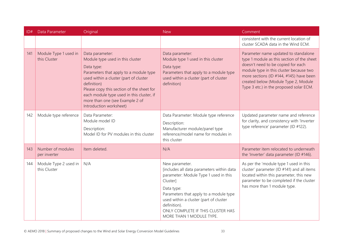| ID# | Data Parameter                        | Original                                                                                                                                                                                                                                                                                                                     | <b>New</b>                                                                                                                                                                                                                                                                                          | Comment                                                                                                                                                                                                                                                                                           |
|-----|---------------------------------------|------------------------------------------------------------------------------------------------------------------------------------------------------------------------------------------------------------------------------------------------------------------------------------------------------------------------------|-----------------------------------------------------------------------------------------------------------------------------------------------------------------------------------------------------------------------------------------------------------------------------------------------------|---------------------------------------------------------------------------------------------------------------------------------------------------------------------------------------------------------------------------------------------------------------------------------------------------|
|     |                                       |                                                                                                                                                                                                                                                                                                                              |                                                                                                                                                                                                                                                                                                     | consistent with the current location of<br>cluster SCADA data in the Wind ECM.                                                                                                                                                                                                                    |
| 141 | Module Type 1 used in<br>this Cluster | Data parameter:<br>Module type used in this cluster<br>Data type:<br>Parameters that apply to a module type<br>used within a cluster (part of cluster<br>definition)<br>Please copy this section of the sheet for<br>each module type used in this cluster, if<br>more than one (see Example 2 of<br>Introduction worksheet) | Data parameter:<br>Module type 1 used in this cluster<br>Data type:<br>Parameters that apply to a module type<br>used within a cluster (part of cluster<br>definition)                                                                                                                              | Parameter name updated to standalone<br>type 1 module as this section of the sheet<br>doesn't need to be copied for each<br>module type in this cluster because two<br>more sections (ID #144, #145) have been<br>created below (Module Type 2, Module<br>Type 3 etc.) in the proposed solar ECM. |
| 142 | Module type reference                 | Data Parameter:<br>Module model ID<br>Description:<br>Model ID for PV modules in this cluster                                                                                                                                                                                                                                | Data Parameter: Module type reference<br>Description:<br>Manufacturer module/panel type<br>reference/model name for modules in<br>this cluster                                                                                                                                                      | Updated parameter name and reference<br>for clarity, and consistency with 'Inverter<br>type reference' parameter (ID #122).                                                                                                                                                                       |
| 143 | Number of modules<br>per inverter     | Item deleted.                                                                                                                                                                                                                                                                                                                | N/A                                                                                                                                                                                                                                                                                                 | Parameter item relocated to underneath<br>the 'Inverter' data parameter (ID #146).                                                                                                                                                                                                                |
| 144 | Module Type 2 used in<br>this Cluster | N/A                                                                                                                                                                                                                                                                                                                          | New parameter.<br>[includes all data parameters within data<br>parameter: Module Type 1 used in this<br>Cluster]<br>Data type:<br>Parameters that apply to a module type<br>used within a cluster (part of cluster<br>definition).<br>ONLY COMPLETE IF THIS CLUSTER HAS<br>MORE THAN 1 MODULE TYPE. | As per the 'module type 1 used in this<br>cluster' parameter (ID #141) and all items<br>located within this parameter, this new<br>parameter to be completed if the cluster<br>has more than 1 module type.                                                                                       |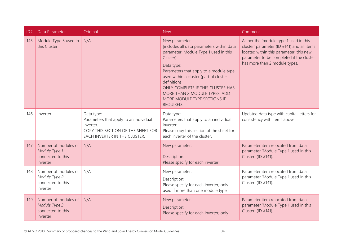| ID# | Data Parameter                                                         | Original                                                                                                                                 | <b>New</b>                                                                                                                                                                                                                                                                                                                                           | Comment                                                                                                                                                                                                      |
|-----|------------------------------------------------------------------------|------------------------------------------------------------------------------------------------------------------------------------------|------------------------------------------------------------------------------------------------------------------------------------------------------------------------------------------------------------------------------------------------------------------------------------------------------------------------------------------------------|--------------------------------------------------------------------------------------------------------------------------------------------------------------------------------------------------------------|
| 145 | Module Type 3 used in<br>this Cluster                                  | N/A                                                                                                                                      | New parameter.<br>[includes all data parameters within data<br>parameter: Module Type 1 used in this<br>Cluster]<br>Data type:<br>Parameters that apply to a module type<br>used within a cluster (part of cluster<br>definition)<br>ONLY COMPLETE IF THIS CLUSTER HAS<br>MORE THAN 2 MODULE TYPES. ADD<br>MORE MODULE TYPE SECTIONS IF<br>REQUIRED. | As per the 'module type 1 used in this<br>cluster' parameter (ID #141) and all items<br>located within this parameter, this new<br>parameter to be completed if the cluster<br>has more than 2 module types. |
| 146 | Inverter                                                               | Data type:<br>Parameters that apply to an individual<br>inverter.<br>COPY THIS SECTION OF THE SHEET FOR<br>EACH INVERTER IN THE CLUSTER. | Data type:<br>Parameters that apply to an individual<br>inverter.<br>Please copy this section of the sheet for<br>each inverter of the cluster.                                                                                                                                                                                                      | Updated data type with capital letters for<br>consistency with items above.                                                                                                                                  |
| 147 | Number of modules of<br>Module Type 1<br>connected to this<br>inverter | N/A                                                                                                                                      | New parameter.<br>Description:<br>Please specify for each inverter                                                                                                                                                                                                                                                                                   | Parameter item relocated from data<br>parameter 'Module Type 1 used in this<br>Cluster' (ID #141).                                                                                                           |
| 148 | Number of modules of<br>Module Type 2<br>connected to this<br>inverter | N/A                                                                                                                                      | New parameter.<br>Description:<br>Please specify for each inverter, only<br>used if more than one module type                                                                                                                                                                                                                                        | Parameter item relocated from data<br>parameter 'Module Type 1 used in this<br>Cluster' (ID #141).                                                                                                           |
| 149 | Number of modules of<br>Module Type 3<br>connected to this<br>inverter | N/A                                                                                                                                      | New parameter.<br>Description:<br>Please specify for each inverter, only                                                                                                                                                                                                                                                                             | Parameter item relocated from data<br>parameter 'Module Type 1 used in this<br>Cluster' (ID #141).                                                                                                           |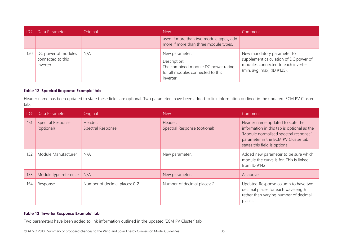|     | Data Parameter                                       | Original | <b>New</b>                                                                                                              | Comment                                                                                                                                 |
|-----|------------------------------------------------------|----------|-------------------------------------------------------------------------------------------------------------------------|-----------------------------------------------------------------------------------------------------------------------------------------|
|     |                                                      |          | used if more than two module types, add<br>more if more than three module types.                                        |                                                                                                                                         |
| 150 | DC power of modules<br>connected to this<br>inverter | N/A      | New parameter.<br>Description:<br>The combined module DC power rating<br>for all modules connected to this<br>inverter. | New mandatory parameter to<br>supplement calculation of DC power of<br>modules connected to each inverter<br>(min, avg, max) (ID #125). |

#### **Table 12 'Spectral Response Example' tab**

Header name has been updated to state these fields are optional. Two parameters have been added to link information outlined in the updated 'ECM PV Cluster' tab.

| ID# | Data Parameter                         | Original                      | <b>New</b>                              | Comment                                                                                                                                                                                          |
|-----|----------------------------------------|-------------------------------|-----------------------------------------|--------------------------------------------------------------------------------------------------------------------------------------------------------------------------------------------------|
| 151 | <b>Spectral Response</b><br>(optional) | Header:<br>Spectral Response  | Header:<br>Spectral Response (optional) | Header name updated to state the<br>information in this tab is optional as the<br>'Module normalised spectral response'<br>parameter in the ECM PV Cluster tab<br>states this field is optional. |
| 152 | Module Manufacturer                    | N/A                           | New parameter.                          | Added new parameter to be sure which<br>module the curve is for. This is linked<br>from $ID$ #142.                                                                                               |
| 153 | Module type reference                  | N/A                           | New parameter.                          | As above.                                                                                                                                                                                        |
| 154 | Response                               | Number of decimal places: 0-2 | Number of decimal places: 2             | Updated Response column to have two<br>decimal places for each wavelength<br>rather than varying number of decimal<br>places.                                                                    |

#### <span id="page-34-0"></span>**Table 13 'Inverter Response Example' tab**

<span id="page-34-1"></span>Two parameters have been added to link information outlined in the updated 'ECM PV Cluster' tab.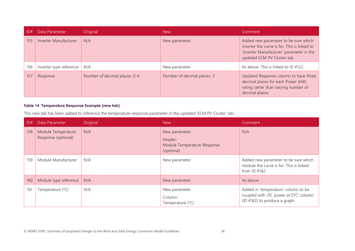| ID# | Data Parameter          | Original                      | <b>New</b>                  | Comment                                                                                                                                                         |
|-----|-------------------------|-------------------------------|-----------------------------|-----------------------------------------------------------------------------------------------------------------------------------------------------------------|
| 155 | Inverter Manufacturer   | N/A                           | New parameter.              | Added new parameter to be sure which<br>inverter the curve is for. This is linked to<br>'Inverter Manufacturer' parameter in the<br>updated ECM PV Cluster tab. |
| 156 | Inverter type reference | N/A                           | New parameter.              | As above. This is linked to ID #122.                                                                                                                            |
| 157 | Response                | Number of decimal places: 0-4 | Number of decimal places: 3 | Updated Response column to have three<br>decimal places for each Power (kW)<br>rating rather than varying number of<br>decimal places.                          |

#### **Table 14 'Temperature Response Example (new tab)**

This new tab has been added to reference the temperature response parameter in the updated 'ECM PV Cluster' tab.

<span id="page-35-0"></span>

| ID# | Data Parameter                            | Original | <b>New</b>                                                             | Comment                                                                                                       |
|-----|-------------------------------------------|----------|------------------------------------------------------------------------|---------------------------------------------------------------------------------------------------------------|
| 158 | Module Temperature<br>Response (optional) | N/A      | New parameter.<br>Header:<br>Module Temperature Response<br>(optional) | N/A                                                                                                           |
| 159 | Module Manufacturer                       | N/A      | New parameter.                                                         | Added new parameter to be sure which<br>module the curve is for. This is linked<br>from $ID$ #142.            |
| 160 | Module type reference                     | N/A      | New parameter.                                                         | As above.                                                                                                     |
| 161 | Temperature (°C)                          | N/A      | New parameter.<br>Column:<br>Temperature $(°C)$                        | Added in 'temperature' column to be<br>coupled with 'DC power at STC' column<br>(ID #162) to produce a graph. |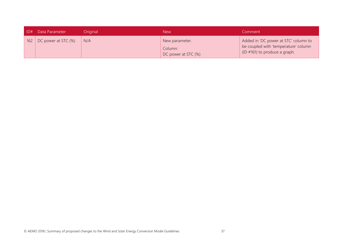| D# | Data Parameter             | Original | <b>New</b>                                       | Comment                                                                                                               |
|----|----------------------------|----------|--------------------------------------------------|-----------------------------------------------------------------------------------------------------------------------|
|    | 162 DC power at STC $(\%)$ | N/A      | New parameter.<br>Column:<br>DC power at STC (%) | Added in 'DC power at STC' column to<br>be coupled with 'temperature' column<br>$\vert$ (ID #161) to produce a graph. |